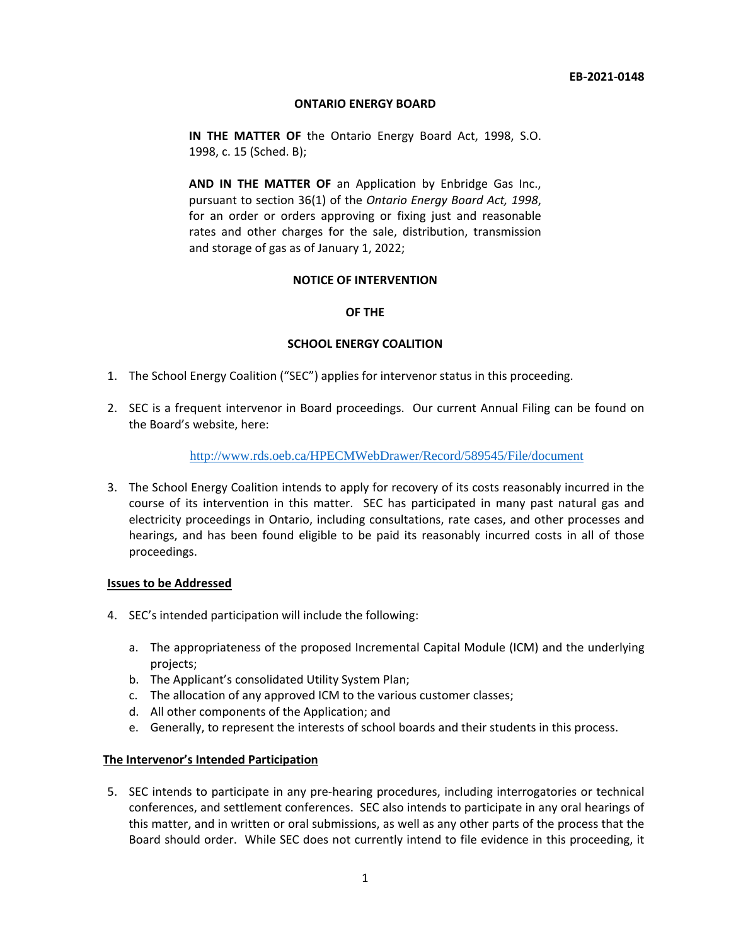### **ONTARIO ENERGY BOARD**

**IN THE MATTER OF** the Ontario Energy Board Act, 1998, S.O. 1998, c. 15 (Sched. B);

**AND IN THE MATTER OF** an Application by Enbridge Gas Inc., pursuant to section 36(1) of the *Ontario Energy Board Act, 1998*, for an order or orders approving or fixing just and reasonable rates and other charges for the sale, distribution, transmission and storage of gas as of January 1, 2022;

#### **NOTICE OF INTERVENTION**

#### **OF THE**

## **SCHOOL ENERGY COALITION**

- 1. The School Energy Coalition ("SEC") applies for intervenor status in this proceeding.
- 2. SEC is a frequent intervenor in Board proceedings. Our current Annual Filing can be found on the Board's website, here:

### <http://www.rds.oeb.ca/HPECMWebDrawer/Record/589545/File/document>

3. The School Energy Coalition intends to apply for recovery of its costs reasonably incurred in the course of its intervention in this matter. SEC has participated in many past natural gas and electricity proceedings in Ontario, including consultations, rate cases, and other processes and hearings, and has been found eligible to be paid its reasonably incurred costs in all of those proceedings.

## **Issues to be Addressed**

- 4. SEC's intended participation will include the following:
	- a. The appropriateness of the proposed Incremental Capital Module (ICM) and the underlying projects;
	- b. The Applicant's consolidated Utility System Plan;
	- c. The allocation of any approved ICM to the various customer classes;
	- d. All other components of the Application; and
	- e. Generally, to represent the interests of school boards and their students in this process.

#### **The Intervenor's Intended Participation**

5. SEC intends to participate in any pre-hearing procedures, including interrogatories or technical conferences, and settlement conferences. SEC also intends to participate in any oral hearings of this matter, and in written or oral submissions, as well as any other parts of the process that the Board should order. While SEC does not currently intend to file evidence in this proceeding, it